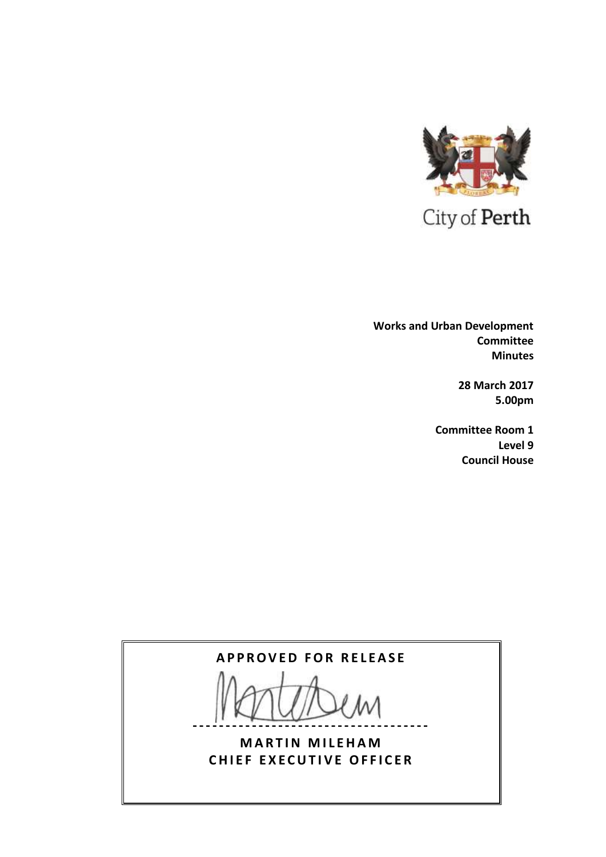

 **Works and Urban Development Committee Minutes**

> **28 March 2017 5.00pm**

**Committee Room 1 Level 9 Council House**

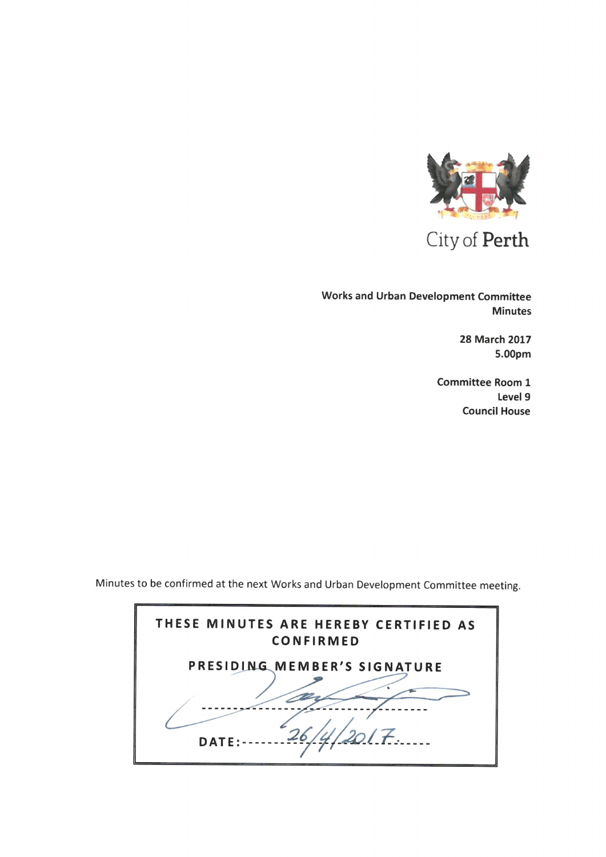

City of Perth

Works and Urban Development Committee Minutes

> 28 March 2017 5.00pm

Committee Room 1 Level 9 Council House

Minutes to be confirmed at the next Works and Urban Development Committee meeting.

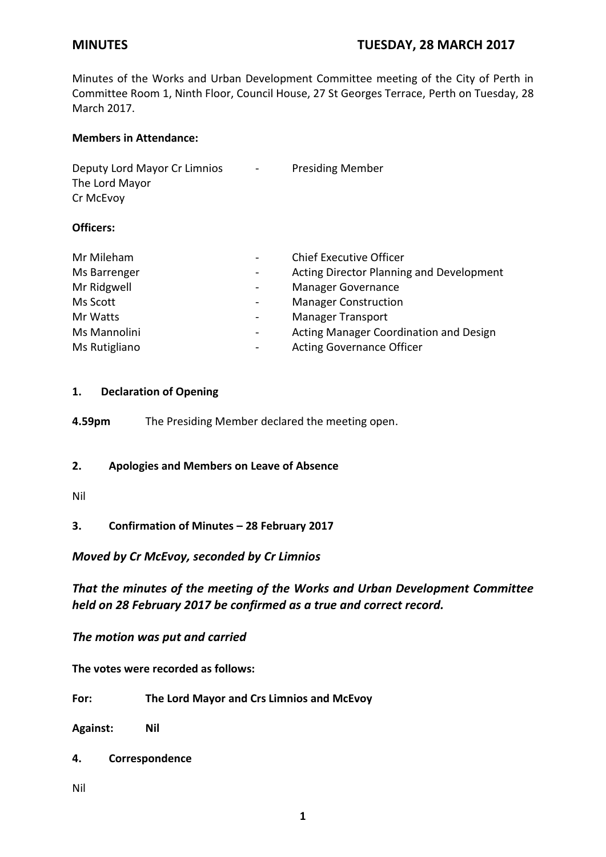Minutes of the Works and Urban Development Committee meeting of the City of Perth in Committee Room 1, Ninth Floor, Council House, 27 St Georges Terrace, Perth on Tuesday, 28 March 2017.

## **Members in Attendance:**

| Deputy Lord Mayor Cr Limnios | $\sim 100$ | <b>Presiding Member</b> |
|------------------------------|------------|-------------------------|
| The Lord Mayor               |            |                         |
| Cr McEvoy                    |            |                         |
|                              |            |                         |

# **Officers:**

| Mr Mileham                     | <b>Chief Executive Officer</b>           |
|--------------------------------|------------------------------------------|
| Ms Barrenger                   | Acting Director Planning and Development |
| Mr Ridgwell                    | Manager Governance                       |
| Ms Scott                       | <b>Manager Construction</b>              |
| Mr Watts                       | <b>Manager Transport</b>                 |
| Ms Mannolini<br>$\blacksquare$ | Acting Manager Coordination and Design   |
| Ms Rutigliano                  | <b>Acting Governance Officer</b>         |

# **1. Declaration of Opening**

**4.59pm** The Presiding Member declared the meeting open.

## **2. Apologies and Members on Leave of Absence**

## Nil

**3. Confirmation of Minutes – 28 February 2017**

# *Moved by Cr McEvoy, seconded by Cr Limnios*

*That the minutes of the meeting of the Works and Urban Development Committee held on 28 February 2017 be confirmed as a true and correct record.*

*The motion was put and carried*

**The votes were recorded as follows:**

**For: The Lord Mayor and Crs Limnios and McEvoy**

**Against: Nil**

**4. Correspondence**

Nil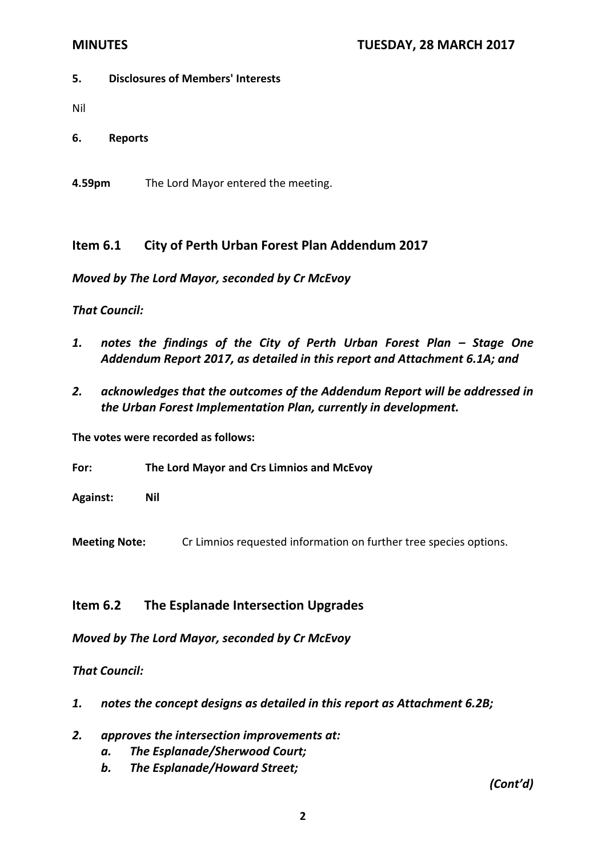## **5. Disclosures of Members' Interests**

Nil

**6. Reports**

**4.59pm** The Lord Mayor entered the meeting.

# **Item 6.1 City of Perth Urban Forest Plan Addendum 2017**

*Moved by The Lord Mayor, seconded by Cr McEvoy*

# *That Council:*

- 1. notes the findings of the City of Perth Urban Forest Plan Stage One *Addendum Report 2017, as detailed in this report and Attachment 6.1A; and*
- *2. acknowledges that the outcomes of the Addendum Report will be addressed in the Urban Forest Implementation Plan, currently in development.*

**The votes were recorded as follows:**

**For: The Lord Mayor and Crs Limnios and McEvoy**

**Against: Nil**

**Meeting Note:** Cr Limnios requested information on further tree species options.

# **Item 6.2 The Esplanade Intersection Upgrades**

*Moved by The Lord Mayor, seconded by Cr McEvoy*

*That Council:*

- *1. notes the concept designs as detailed in this report as Attachment 6.2B;*
- *2. approves the intersection improvements at:*
	- *a. The Esplanade/Sherwood Court;*
	- *b. The Esplanade/Howard Street;*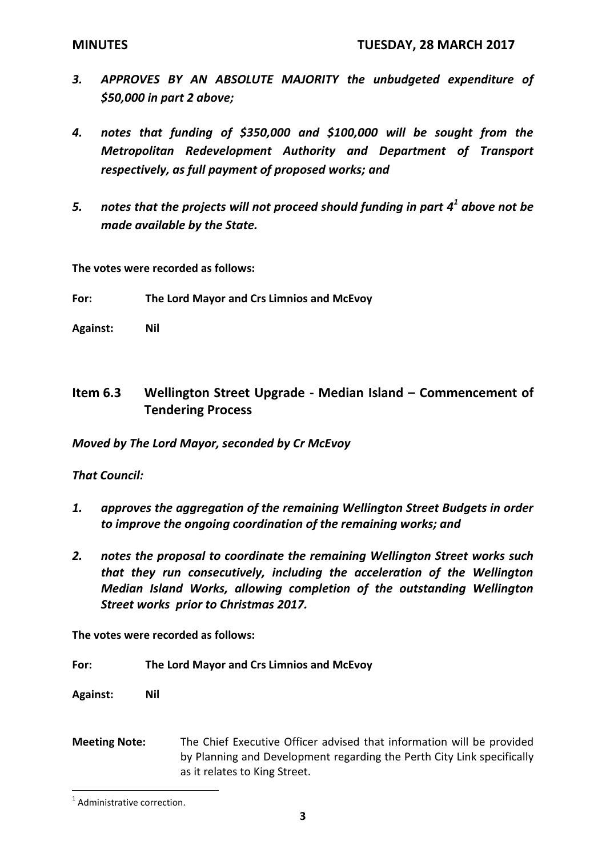- *3. APPROVES BY AN ABSOLUTE MAJORITY the unbudgeted expenditure of \$50,000 in part 2 above;*
- *4. notes that funding of \$350,000 and \$100,000 will be sought from the Metropolitan Redevelopment Authority and Department of Transport respectively, as full payment of proposed works; and*
- *5. notes that the projects will not proceed should funding in part 4 1 above not be made available by the State.*

**The votes were recorded as follows:**

- **For: The Lord Mayor and Crs Limnios and McEvoy**
- **Against: Nil**

# **Item 6.3 Wellington Street Upgrade - Median Island – Commencement of Tendering Process**

*Moved by The Lord Mayor, seconded by Cr McEvoy* 

*That Council:* 

- *1. approves the aggregation of the remaining Wellington Street Budgets in order to improve the ongoing coordination of the remaining works; and*
- *2. notes the proposal to coordinate the remaining Wellington Street works such that they run consecutively, including the acceleration of the Wellington Median Island Works, allowing completion of the outstanding Wellington Street works prior to Christmas 2017.*

**The votes were recorded as follows:**

**For: The Lord Mayor and Crs Limnios and McEvoy**

**Against: Nil**

**Meeting Note:** The Chief Executive Officer advised that information will be provided by Planning and Development regarding the Perth City Link specifically as it relates to King Street.

 $\overline{a}$ 

<sup>&</sup>lt;sup>1</sup> Administrative correction.